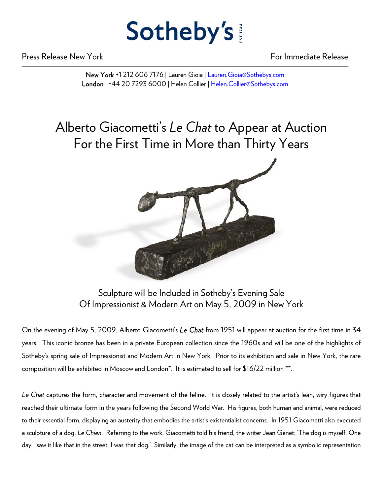## Sotheby's

Press Release New York For Immediate Release

New York +1 212 606 7176 | Lauren Gioia | Lauren.Gioia@Sothebys.com London | +44 20 7293 6000 | Helen Collier | Helen.Collier@Sothebys.com

## Alberto Giacometti's *Le Chat* to Appear at Auction For the First Time in More than Thirty Years



Sculpture will be Included in Sotheby's Evening Sale Of Impressionist & Modern Art on May 5, 2009 in New York

On the evening of May 5, 2009, Alberto Giacometti's *Le Chat* from 1951 will appear at auction for the first time in 34 years. This iconic bronze has been in a private European collection since the 1960s and will be one of the highlights of Sotheby's spring sale of Impressionist and Modern Art in New York. Prior to its exhibition and sale in New York, the rare composition will be exhibited in Moscow and London\*. It is estimated to sell for \$16/22 million \*\*.

*Le Chat* captures the form, character and movement of the feline. It is closely related to the artist's lean, wiry figures that reached their ultimate form in the years following the Second World War. His figures, both human and animal, were reduced to their essential form, displaying an austerity that embodies the artist's existentialist concerns. In 1951 Giacometti also executed a sculpture of a dog, *Le Chien*. Referring to the work, Giacometti told his friend, the writer Jean Genet: 'The dog is myself. One day I saw it like that in the street. I was that dog.' Similarly, the image of the cat can be interpreted as a symbolic representation